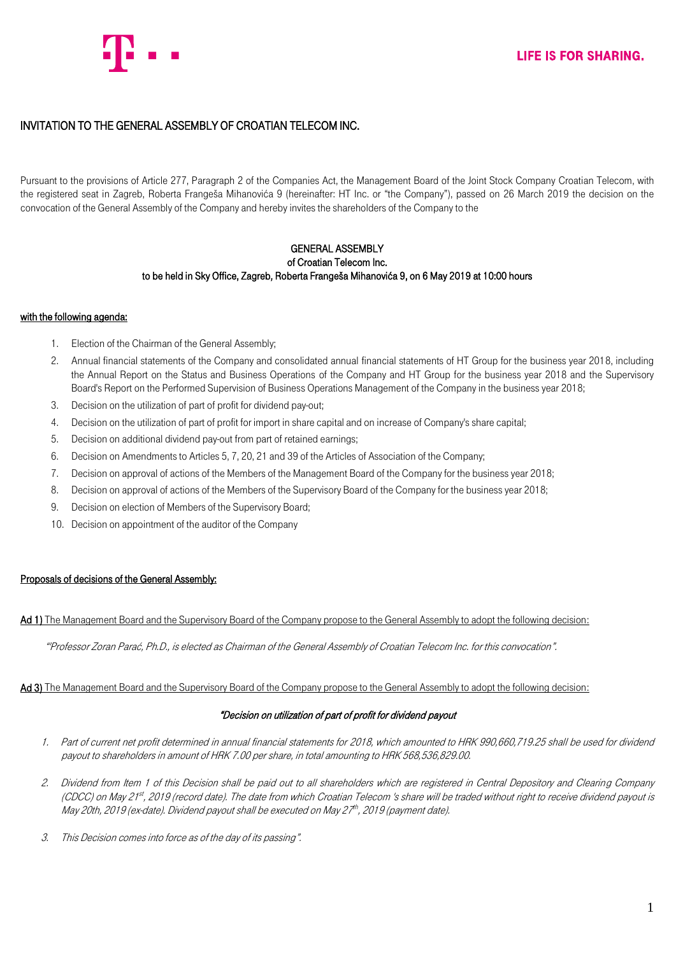

# INVITATION TO THE GENERAL ASSEMBLY OF CROATIAN TELECOM INC.

Pursuant to the provisions of Article 277, Paragraph 2 of the Companies Act, the Management Board of the Joint Stock Company Croatian Telecom, with the registered seat in Zagreb, Roberta Frangeša Mihanovića 9 (hereinafter: HT Inc. or "the Company"), passed on 26 March 2019 the decision on the convocation of the General Assembly of the Company and hereby invites the shareholders of the Company to the

# GENERAL ASSEMBLY of Croatian Telecom Inc. to be held in Sky Office, Zagreb, Roberta Frangeša Mihanovića 9, on 6 May 2019 at 10:00 hours

# with the following agenda:

- 1. Election of the Chairman of the General Assembly;
- 2. Annual financial statements of the Company and consolidated annual financial statements of HT Group for the business year 2018, including the Annual Report on the Status and Business Operations of the Company and HT Group for the business year 2018 and the Supervisory Board's Report on the Performed Supervision of Business Operations Management of the Company in the business year 2018;
- 3. Decision on the utilization of part of profit for dividend pay-out;
- 4. Decision on the utilization of part of profit for import in share capital and on increase of Company's share capital;
- 5. Decision on additional dividend pay-out from part of retained earnings;
- 6. Decision on Amendments to Articles 5, 7, 20, 21 and 39 of the Articles of Association of the Company;
- 7. Decision on approval of actions of the Members of the Management Board of the Company for the business year 2018;
- 8. Decision on approval of actions of the Members of the Supervisory Board of the Company for the business year 2018;
- 9. Decision on election of Members of the Supervisory Board;
- 10. Decision on appointment of the auditor of the Company

### Proposals of decisions of the General Assembly:

### Ad 1) The Management Board and the Supervisory Board of the Company propose to the General Assembly to adopt the following decision:

"'Professor Zoran Parać, Ph.D., is elected as Chairman of the General Assembly of Croatian Telecom Inc. for this convocation".

# Ad 3) The Management Board and the Supervisory Board of the Company propose to the General Assembly to adopt the following decision:

### "Decision on utilization of part of profit for dividend payout

- 1. Part of current net profit determined in annual financial statements for 2018, which amounted to HRK 990,660,719.25 shall be used for dividend payout to shareholders in amount of HRK 7.00 per share, in total amounting to HRK 568,536,829.00.
- 2. Dividend from Item 1 of this Decision shall be paid out to all shareholders which are registered in Central Depository and Clearing Company (CDCC) on May 21st, 2019 (record date). The date from which Croatian Telecom 's share will be traded without right to receive dividend payout is May 20th, 2019 (ex-date). Dividend payout shall be executed on May 27th, 2019 (payment date).
- 3. This Decision comes into force as of the day of its passing".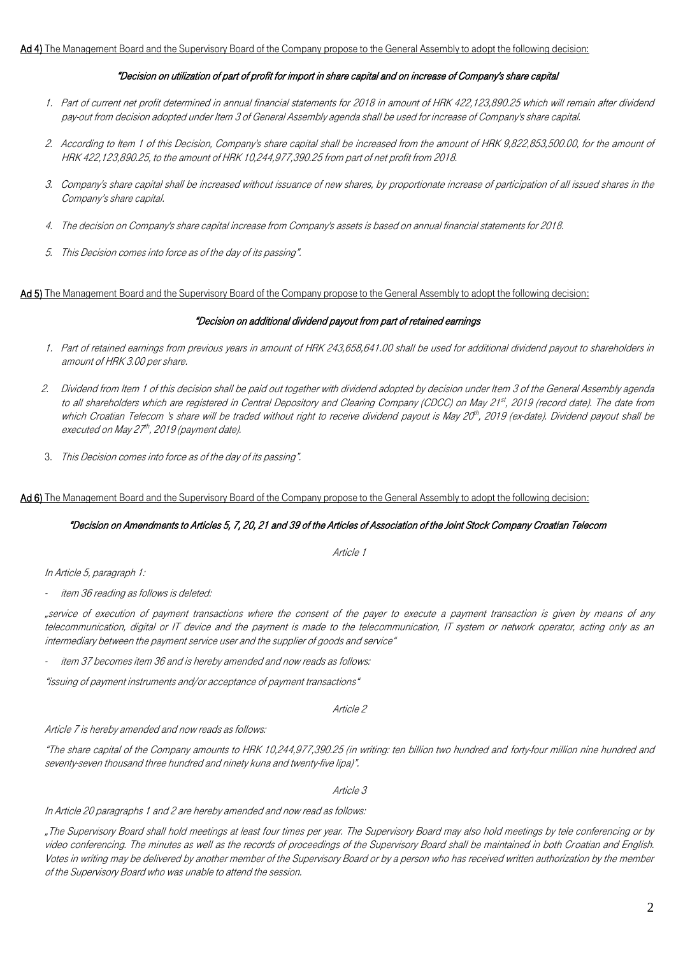#### "Decision on utilization of part of profit for import in share capital and on increase of Company's share capital

- 1. Part of current net profit determined in annual financial statements for 2018 in amount of HRK 422,123,890.25 which will remain after dividend pay-out from decision adopted under Item 3 of General Assembly agenda shall be used for increase of Company's share capital.
- 2. According to Item 1 of this Decision, Company's share capital shall be increased from the amount of HRK 9,822,853,500.00, for the amount of HRK 422,123,890.25, to the amount of HRK 10,244,977,390.25 from part of net profit from 2018.
- 3. Company's share capital shall be increased without issuance of new shares, by proportionate increase of participation of all issued shares in the Company's share capital.
- 4. The decision on Company's share capital increase from Company's assets is based on annual financial statements for 2018.
- 5. This Decision comes into force as of the day of its passing".

Ad 5) The Management Board and the Supervisory Board of the Company propose to the General Assembly to adopt the following decision:

#### "Decision on additional dividend payout from part of retained earnings

- 1. Part of retained earnings from previous years in amount of HRK 243,658,641.00 shall be used for additional dividend payout to shareholders in amount of HRK 3.00 per share.
- 2. Dividend from Item 1 of this decision shall be paid out together with dividend adopted by decision under Item 3 of the General Assembly agenda to all shareholders which are registered in Central Depository and Clearing Company (CDCC) on May 21st, 2019 (record date). The date from which Croatian Telecom 's share will be traded without right to receive dividend payout is May 20th, 2019 (ex-date). Dividend payout shall be executed on May 27th, 2019 (payment date).
- 3. This Decision comes into force as of the day of its passing".

#### Ad 6) The Management Board and the Supervisory Board of the Company propose to the General Assembly to adopt the following decision:

#### "Decision on Amendments to Articles 5, 7, 20, 21 and 39 of the Articles of Association of the Joint Stock Company Croatian Telecom

Article 1

In Article 5, paragraph 1:

item 36 reading as follows is deleted:

"service of execution of payment transactions where the consent of the payer to execute a payment transaction is given by means of any telecommunication, digital or IT device and the payment is made to the telecommunication, IT system or network operator, acting only as an intermediary between the payment service user and the supplier of goods and service"

item 37 becomes item 36 and is hereby amended and now reads as follows:

"issuing of payment instruments and/or acceptance of payment transactions"

#### Article 2

Article 7 is hereby amended and now reads as follows:

"The share capital of the Company amounts to HRK 10,244,977,390.25 (in writing: ten billion two hundred and forty-four million nine hundred and seventy-seven thousand three hundred and ninety kuna and twenty-five lipa)".

#### Article 3

#### In Article 20 paragraphs 1 and 2 are hereby amended and now read as follows:

"The Supervisory Board shall hold meetings at least four times per year. The Supervisory Board may also hold meetings by tele conferencing or by video conferencing. The minutes as well as the records of proceedings of the Supervisory Board shall be maintained in both Croatian and English. Votes in writing may be delivered by another member of the Supervisory Board or by a person who has received written authorization by the member of the Supervisory Board who was unable to attend the session.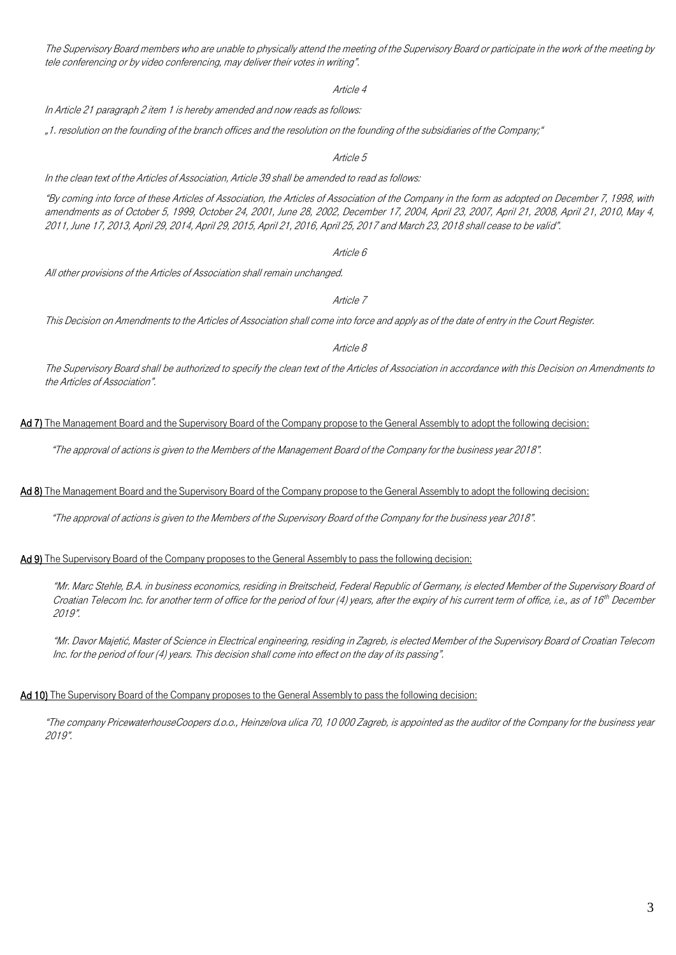The Supervisory Board members who are unable to physically attend the meeting of the Supervisory Board or participate in the work of the meeting by tele conferencing or by video conferencing, may deliver their votes in writing".

Article 4

In Article 21 paragraph 2 item 1 is hereby amended and now reads as follows:

"1. resolution on the founding of the branch offices and the resolution on the founding of the subsidiaries of the Company;"

Article 5

In the clean text of the Articles of Association, Article 39 shall be amended to read as follows:

"By coming into force of these Articles of Association, the Articles of Association of the Company in the form as adopted on December 7, 1998, with amendments as of October 5, 1999, October 24, 2001, June 28, 2002, December 17, 2004, April 23, 2007, April 21, 2008, April 21, 2010, May 4, 2011, June 17, 2013, April 29, 2014, April 29, 2015, April 21, 2016, April 25, 2017 and March 23, 2018 shall cease to be valid".

Article 6

All other provisions of the Articles of Association shall remain unchanged.

Article 7

This Decision on Amendments to the Articles of Association shall come into force and apply as of the date of entry in the Court Register.

Article 8

The Supervisory Board shall be authorized to specify the clean text of the Articles of Association in accordance with this Decision on Amendments to the Articles of Association".

Ad 7) The Management Board and the Supervisory Board of the Company propose to the General Assembly to adopt the following decision:

"The approval of actions is given to the Members of the Management Board of the Company for the business year 2018".

# Ad 8) The Management Board and the Supervisory Board of the Company propose to the General Assembly to adopt the following decision:

"The approval of actions is given to the Members of the Supervisory Board of the Company for the business year 2018".

#### Ad 9) The Supervisory Board of the Company proposes to the General Assembly to pass the following decision:

"Mr. Marc Stehle, B.A. in business economics, residing in Breitscheid, Federal Republic of Germany, is elected Member of the Supervisory Board of Croatian Telecom Inc. for another term of office for the period of four (4) years, after the expiry of his current term of office, i.e., as of 16th December 2019".

"Mr. Davor Majetić, Master of Science in Electrical engineering, residing in Zagreb, is elected Member of the Supervisory Board of Croatian Telecom Inc. for the period of four (4) years. This decision shall come into effect on the day of its passing".

### Ad 10) The Supervisory Board of the Company proposes to the General Assembly to pass the following decision:

"The company PricewaterhouseCoopers d.o.o., Heinzelova ulica 70, 10 000 Zagreb, is appointed as the auditor of the Company for the business year 2019".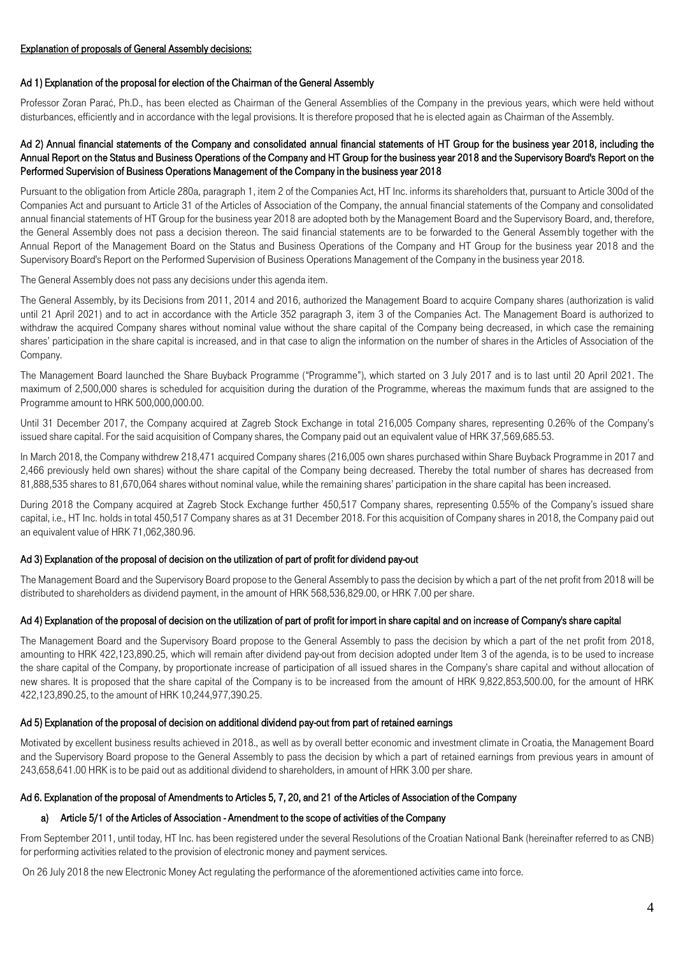# Ad 1) Explanation of the proposal for election of the Chairman of the General Assembly

Professor Zoran Parać, Ph.D., has been elected as Chairman of the General Assemblies of the Company in the previous years, which were held without disturbances, efficiently and in accordance with the legal provisions. It is therefore proposed that he is elected again as Chairman of the Assembly.

# Ad 2) Annual financial statements of the Company and consolidated annual financial statements of HT Group for the business year 2018, including the Annual Report on the Status and Business Operations of the Company and HT Group for the business year 2018 and the Supervisory Board's Report on the Performed Supervision of Business Operations Management of the Company in the business year 2018

Pursuant to the obligation from Article 280a, paragraph 1, item 2 of the Companies Act, HT Inc. informs its shareholders that, pursuant to Article 300d of the Companies Act and pursuant to Article 31 of the Articles of Association of the Company, the annual financial statements of the Company and consolidated annual financial statements of HT Group for the business year 2018 are adopted both by the Management Board and the Supervisory Board, and, therefore, the General Assembly does not pass a decision thereon. The said financial statements are to be forwarded to the General Assembly together with the Annual Report of the Management Board on the Status and Business Operations of the Company and HT Group for the business year 2018 and the Supervisory Board's Report on the Performed Supervision of Business Operations Management of the Company in the business year 2018.

The General Assembly does not pass any decisions under this agenda item.

The General Assembly, by its Decisions from 2011, 2014 and 2016, authorized the Management Board to acquire Company shares (authorization is valid until 21 April 2021) and to act in accordance with the Article 352 paragraph 3, item 3 of the Companies Act. The Management Board is authorized to withdraw the acquired Company shares without nominal value without the share capital of the Company being decreased, in which case the remaining shares' participation in the share capital is increased, and in that case to align the information on the number of shares in the Articles of Association of the Company.

The Management Board launched the Share Buyback Programme ("Programme"), which started on 3 July 2017 and is to last until 20 April 2021. The maximum of 2,500,000 shares is scheduled for acquisition during the duration of the Programme, whereas the maximum funds that are assigned to the Programme amount to HRK 500,000,000.00.

Until 31 December 2017, the Company acquired at Zagreb Stock Exchange in total 216,005 Company shares, representing 0.26% of the Company's issued share capital. For the said acquisition of Company shares, the Company paid out an equivalent value of HRK 37,569,685.53.

In March 2018, the Company withdrew 218,471 acquired Company shares (216,005 own shares purchased within Share Buyback Programme in 2017 and 2,466 previously held own shares) without the share capital of the Company being decreased. Thereby the total number of shares has decreased from 81,888,535 shares to 81,670,064 shares without nominal value, while the remaining shares' participation in the share capital has been increased.

During 2018 the Company acquired at Zagreb Stock Exchange further 450,517 Company shares, representing 0.55% of the Company's issued share capital, i.e., HT Inc. holds in total 450,517 Company shares as at 31 December 2018. For this acquisition of Company shares in 2018, the Company paid out an equivalent value of HRK 71,062,380.96.

### Ad 3) Explanation of the proposal of decision on the utilization of part of profit for dividend pay-out

The Management Board and the Supervisory Board propose to the General Assembly to pass the decision by which a part of the net profit from 2018 will be distributed to shareholders as dividend payment, in the amount of HRK 568,536,829.00, or HRK 7.00 per share.

### Ad 4) Explanation of the proposal of decision on the utilization of part of profit for import in share capital and on increase of Company's share capital

The Management Board and the Supervisory Board propose to the General Assembly to pass the decision by which a part of the net profit from 2018, amounting to HRK 422,123,890.25, which will remain after dividend pay-out from decision adopted under Item 3 of the agenda, is to be used to increase the share capital of the Company, by proportionate increase of participation of all issued shares in the Company's share capital and without allocation of new shares. It is proposed that the share capital of the Company is to be increased from the amount of HRK 9,822,853,500.00, for the amount of HRK 422,123,890.25, to the amount of HRK 10,244,977,390.25.

### Ad 5) Explanation of the proposal of decision on additional dividend pay-out from part of retained earnings

Motivated by excellent business results achieved in 2018., as well as by overall better economic and investment climate in Croatia, the Management Board and the Supervisory Board propose to the General Assembly to pass the decision by which a part of retained earnings from previous years in amount of 243,658,641.00 HRK is to be paid out as additional dividend to shareholders, in amount of HRK 3.00 per share.

### Ad 6. Explanation of the proposal of Amendments to Articles 5, 7, 20, and 21 of the Articles of Association of the Company

# a) Article 5/1 of the Articles of Association - Amendment to the scope of activities of the Company

From September 2011, until today, HT Inc. has been registered under the several Resolutions of the Croatian National Bank (hereinafter referred to as CNB) for performing activities related to the provision of electronic money and payment services.

On 26 July 2018 the new Electronic Money Act regulating the performance of the aforementioned activities came into force.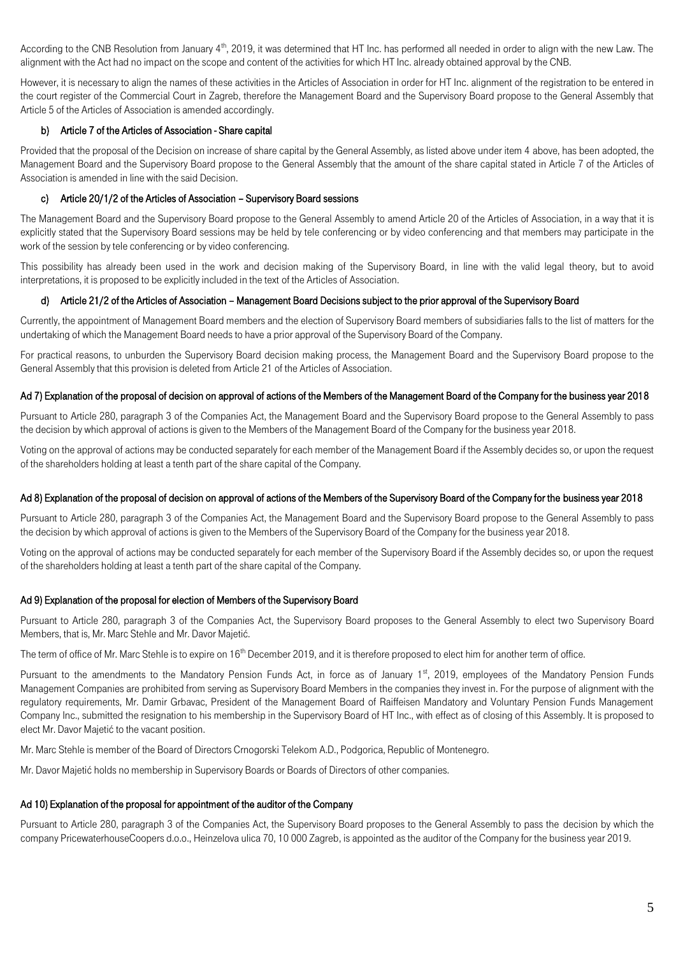According to the CNB Resolution from January 4<sup>th</sup>, 2019, it was determined that HT Inc. has performed all needed in order to align with the new Law. The alignment with the Act had no impact on the scope and content of the activities for which HT Inc. already obtained approval by the CNB.

However, it is necessary to align the names of these activities in the Articles of Association in order for HT Inc. alignment of the registration to be entered in the court register of the Commercial Court in Zagreb, therefore the Management Board and the Supervisory Board propose to the General Assembly that Article 5 of the Articles of Association is amended accordingly.

# b) Article 7 of the Articles of Association - Share capital

Provided that the proposal of the Decision on increase of share capital by the General Assembly, as listed above under item 4 above, has been adopted, the Management Board and the Supervisory Board propose to the General Assembly that the amount of the share capital stated in Article 7 of the Articles of Association is amended in line with the said Decision.

# c) Article 20/1/2 of the Articles of Association – Supervisory Board sessions

The Management Board and the Supervisory Board propose to the General Assembly to amend Article 20 of the Articles of Association, in a way that it is explicitly stated that the Supervisory Board sessions may be held by tele conferencing or by video conferencing and that members may participate in the work of the session by tele conferencing or by video conferencing.

This possibility has already been used in the work and decision making of the Supervisory Board, in line with the valid legal theory, but to avoid interpretations, it is proposed to be explicitly included in the text of the Articles of Association.

### d) Article 21/2 of the Articles of Association – Management Board Decisions subject to the prior approval of the Supervisory Board

Currently, the appointment of Management Board members and the election of Supervisory Board members of subsidiaries falls to the list of matters for the undertaking of which the Management Board needs to have a prior approval of the Supervisory Board of the Company.

For practical reasons, to unburden the Supervisory Board decision making process, the Management Board and the Supervisory Board propose to the General Assembly that this provision is deleted from Article 21 of the Articles of Association.

### Ad 7) Explanation of the proposal of decision on approval of actions of the Members of the Management Board of the Company for the business year 2018

Pursuant to Article 280, paragraph 3 of the Companies Act, the Management Board and the Supervisory Board propose to the General Assembly to pass the decision by which approval of actions is given to the Members of the Management Board of the Company for the business year 2018.

Voting on the approval of actions may be conducted separately for each member of the Management Board if the Assembly decides so, or upon the request of the shareholders holding at least a tenth part of the share capital of the Company.

### Ad 8) Explanation of the proposal of decision on approval of actions of the Members of the Supervisory Board of the Company for the business year 2018

Pursuant to Article 280, paragraph 3 of the Companies Act, the Management Board and the Supervisory Board propose to the General Assembly to pass the decision by which approval of actions is given to the Members of the Supervisory Board of the Company for the business year 2018.

Voting on the approval of actions may be conducted separately for each member of the Supervisory Board if the Assembly decides so, or upon the request of the shareholders holding at least a tenth part of the share capital of the Company.

### Ad 9) Explanation of the proposal for election of Members of the Supervisory Board

Pursuant to Article 280, paragraph 3 of the Companies Act, the Supervisory Board proposes to the General Assembly to elect two Supervisory Board Members, that is, Mr. Marc Stehle and Mr. Davor Majetić.

The term of office of Mr. Marc Stehle is to expire on  $16<sup>th</sup>$  December 2019, and it is therefore proposed to elect him for another term of office.

Pursuant to the amendments to the Mandatory Pension Funds Act, in force as of January 1<sup>st</sup>, 2019, employees of the Mandatory Pension Funds Management Companies are prohibited from serving as Supervisory Board Members in the companies they invest in. For the purpose of alignment with the regulatory requirements, Mr. Damir Grbavac, President of the Management Board of Raiffeisen Mandatory and Voluntary Pension Funds Management Company Inc., submitted the resignation to his membership in the Supervisory Board of HT Inc., with effect as of closing of this Assembly. It is proposed to elect Mr. Davor Majetić to the vacant position.

Mr. Marc Stehle is member of the Board of Directors Crnogorski Telekom A.D., Podgorica, Republic of Montenegro.

Mr. Davor Majetić holds no membership in Supervisory Boards or Boards of Directors of other companies.

### Ad 10) Explanation of the proposal for appointment of the auditor of the Company

Pursuant to Article 280, paragraph 3 of the Companies Act, the Supervisory Board proposes to the General Assembly to pass the decision by which the company PricewaterhouseCoopers d.o.o., Heinzelova ulica 70, 10 000 Zagreb, is appointed as the auditor of the Company for the business year 2019.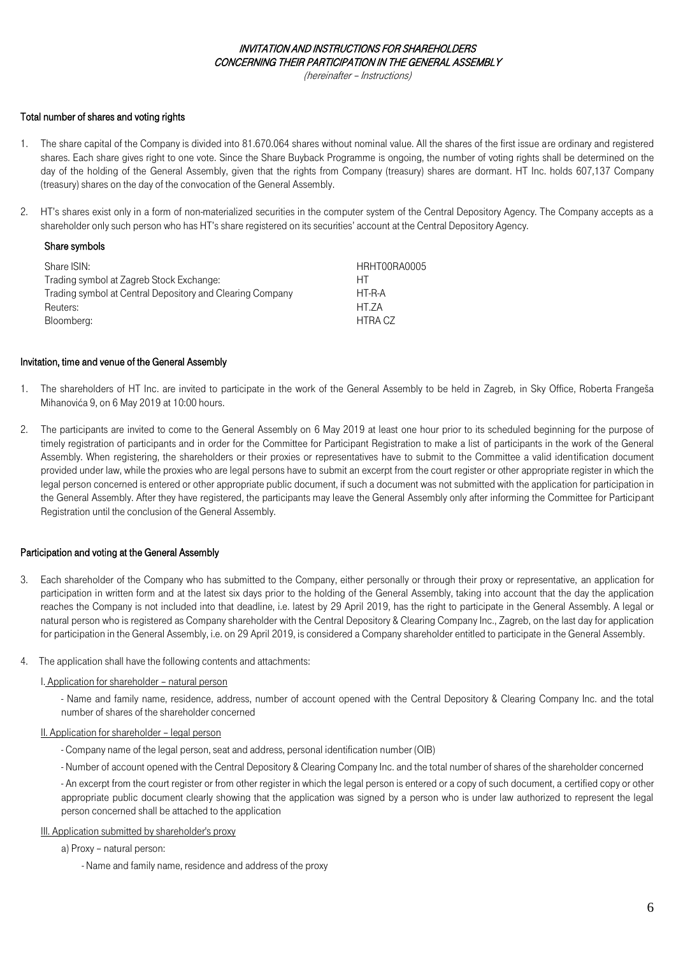#### INVITATION AND INSTRUCTIONS FOR SHAREHOLDERS CONCERNING THEIR PARTICIPATION IN THE GENERAL ASSEMBLY

(hereinafter – Instructions)

# Total number of shares and voting rights

- 1. The share capital of the Company is divided into 81.670.064 shares without nominal value. All the shares of the first issue are ordinary and registered shares. Each share gives right to one vote. Since the Share Buyback Programme is ongoing, the number of voting rights shall be determined on the day of the holding of the General Assembly, given that the rights from Company (treasury) shares are dormant. HT Inc. holds 607,137 Company (treasury) shares on the day of the convocation of the General Assembly.
- 2. HT's shares exist only in a form of non-materialized securities in the computer system of the Central Depository Agency. The Company accepts as a shareholder only such person who has HT's share registered on its securities' account at the Central Depository Agency.

### Share symbols

| Share ISIN:                                               | HRHT00RA0005 |
|-----------------------------------------------------------|--------------|
| Trading symbol at Zagreb Stock Exchange:                  | HТ           |
| Trading symbol at Central Depository and Clearing Company | HT-R-A       |
| Reuters:                                                  | HT.7A        |
| Bloomberg:                                                | HTRA CZ      |
|                                                           |              |

#### Invitation, time and venue of the General Assembly

- 1. The shareholders of HT Inc. are invited to participate in the work of the General Assembly to be held in Zagreb, in Sky Office, Roberta Frangeša Mihanovića 9, on 6 May 2019 at 10:00 hours.
- 2. The participants are invited to come to the General Assembly on 6 May 2019 at least one hour prior to its scheduled beginning for the purpose of timely registration of participants and in order for the Committee for Participant Registration to make a list of participants in the work of the General Assembly. When registering, the shareholders or their proxies or representatives have to submit to the Committee a valid identification document provided under law, while the proxies who are legal persons have to submit an excerpt from the court register or other appropriate register in which the legal person concerned is entered or other appropriate public document, if such a document was not submitted with the application for participation in the General Assembly. After they have registered, the participants may leave the General Assembly only after informing the Committee for Participant Registration until the conclusion of the General Assembly.

### Participation and voting at the General Assembly

- 3. Each shareholder of the Company who has submitted to the Company, either personally or through their proxy or representative, an application for participation in written form and at the latest six days prior to the holding of the General Assembly, taking into account that the day the application reaches the Company is not included into that deadline, i.e. latest by 29 April 2019, has the right to participate in the General Assembly. A legal or natural person who is registered as Company shareholder with the Central Depository & Clearing Company Inc., Zagreb, on the last day for application for participation in the General Assembly, i.e. on 29 April 2019, is considered a Company shareholder entitled to participate in the General Assembly.
- 4. The application shall have the following contents and attachments:

#### I. Application for shareholder – natural person

- Name and family name, residence, address, number of account opened with the Central Depository & Clearing Company Inc. and the total number of shares of the shareholder concerned

#### II. Application for shareholder – legal person

- Company name of the legal person, seat and address, personal identification number (OIB)
- Number of account opened with the Central Depository & Clearing Company Inc. and the total number of shares of the shareholder concerned

- An excerpt from the court register or from other register in which the legal person is entered or a copy of such document, a certified copy or other appropriate public document clearly showing that the application was signed by a person who is under law authorized to represent the legal person concerned shall be attached to the application

#### III. Application submitted by shareholder's proxy

a) Proxy – natural person:

- Name and family name, residence and address of the proxy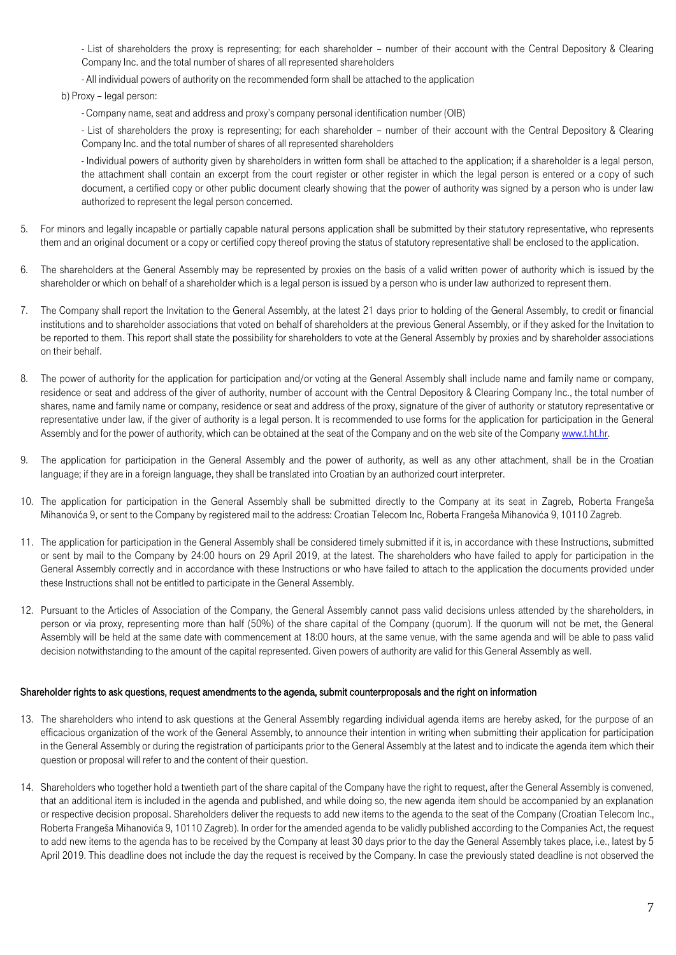- List of shareholders the proxy is representing; for each shareholder – number of their account with the Central Depository & Clearing Company Inc. and the total number of shares of all represented shareholders

- All individual powers of authority on the recommended form shall be attached to the application

b) Proxy – legal person:

- Company name, seat and address and proxy's company personal identification number (OIB)

- List of shareholders the proxy is representing; for each shareholder – number of their account with the Central Depository & Clearing Company Inc. and the total number of shares of all represented shareholders

- Individual powers of authority given by shareholders in written form shall be attached to the application; if a shareholder is a legal person, the attachment shall contain an excerpt from the court register or other register in which the legal person is entered or a copy of such document, a certified copy or other public document clearly showing that the power of authority was signed by a person who is under law authorized to represent the legal person concerned.

- 5. For minors and legally incapable or partially capable natural persons application shall be submitted by their statutory representative, who represents them and an original document or a copy or certified copy thereof proving the status of statutory representative shall be enclosed to the application.
- 6. The shareholders at the General Assembly may be represented by proxies on the basis of a valid written power of authority which is issued by the shareholder or which on behalf of a shareholder which is a legal person is issued by a person who is under law authorized to represent them.
- 7. The Company shall report the Invitation to the General Assembly, at the latest 21 days prior to holding of the General Assembly, to credit or financial institutions and to shareholder associations that voted on behalf of shareholders at the previous General Assembly, or if they asked for the Invitation to be reported to them. This report shall state the possibility for shareholders to vote at the General Assembly by proxies and by shareholder associations on their behalf.
- 8. The power of authority for the application for participation and/or voting at the General Assembly shall include name and family name or company, residence or seat and address of the giver of authority, number of account with the Central Depository & Clearing Company Inc., the total number of shares, name and family name or company, residence or seat and address of the proxy, signature of the giver of authority or statutory representative or representative under law, if the giver of authority is a legal person. It is recommended to use forms for the application for participation in the General Assembly and for the power of authority, which can be obtained at the seat of the Company and on the web site of the Compan[y www.t.ht.hr.](http://www.t.ht.hr/)
- 9. The application for participation in the General Assembly and the power of authority, as well as any other attachment, shall be in the Croatian language; if they are in a foreign language, they shall be translated into Croatian by an authorized court interpreter.
- 10. The application for participation in the General Assembly shall be submitted directly to the Company at its seat in Zagreb, Roberta Frangeša Mihanovića 9, or sent to the Company by registered mail to the address: Croatian Telecom Inc, Roberta Frangeša Mihanovića 9, 10110 Zagreb.
- 11. The application for participation in the General Assembly shall be considered timely submitted if it is, in accordance with these Instructions, submitted or sent by mail to the Company by 24:00 hours on 29 April 2019, at the latest. The shareholders who have failed to apply for participation in the General Assembly correctly and in accordance with these Instructions or who have failed to attach to the application the documents provided under these Instructions shall not be entitled to participate in the General Assembly.
- 12. Pursuant to the Articles of Association of the Company, the General Assembly cannot pass valid decisions unless attended by the shareholders, in person or via proxy, representing more than half (50%) of the share capital of the Company (quorum). If the quorum will not be met, the General Assembly will be held at the same date with commencement at 18:00 hours, at the same venue, with the same agenda and will be able to pass valid decision notwithstanding to the amount of the capital represented. Given powers of authority are valid for this General Assembly as well.

#### Shareholder rights to ask questions, request amendments to the agenda, submit counterproposals and the right on information

- 13. The shareholders who intend to ask questions at the General Assembly regarding individual agenda items are hereby asked, for the purpose of an efficacious organization of the work of the General Assembly, to announce their intention in writing when submitting their application for participation in the General Assembly or during the registration of participants prior to the General Assembly at the latest and to indicate the agenda item which their question or proposal will refer to and the content of their question.
- 14. Shareholders who together hold a twentieth part of the share capital of the Company have the right to request, after the General Assembly is convened, that an additional item is included in the agenda and published, and while doing so, the new agenda item should be accompanied by an explanation or respective decision proposal. Shareholders deliver the requests to add new items to the agenda to the seat of the Company (Croatian Telecom Inc., Roberta Frangeša Mihanovića 9, 10110 Zagreb). In order for the amended agenda to be validly published according to the Companies Act, the request to add new items to the agenda has to be received by the Company at least 30 days prior to the day the General Assembly takes place, i.e., latest by 5 April 2019. This deadline does not include the day the request is received by the Company. In case the previously stated deadline is not observed the